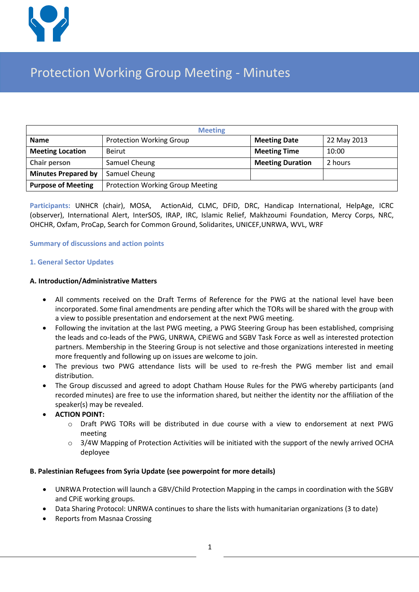

# Protection Working Group Meeting - Minutes

| <b>Meeting</b>             |                                         |                         |             |  |  |
|----------------------------|-----------------------------------------|-------------------------|-------------|--|--|
| <b>Name</b>                | <b>Protection Working Group</b>         | <b>Meeting Date</b>     | 22 May 2013 |  |  |
| <b>Meeting Location</b>    | Beirut                                  | <b>Meeting Time</b>     | 10:00       |  |  |
| Chair person               | Samuel Cheung                           | <b>Meeting Duration</b> | 2 hours     |  |  |
| <b>Minutes Prepared by</b> | Samuel Cheung                           |                         |             |  |  |
| <b>Purpose of Meeting</b>  | <b>Protection Working Group Meeting</b> |                         |             |  |  |

**Participants:** UNHCR (chair), MOSA, ActionAid, CLMC, DFID, DRC, Handicap International, HelpAge, ICRC (observer), International Alert, InterSOS, IRAP, IRC, Islamic Relief, Makhzoumi Foundation, Mercy Corps, NRC, OHCHR, Oxfam, ProCap, Search for Common Ground, Solidarites, UNICEF,UNRWA, WVL, WRF

## **Summary of discussions and action points**

## **1. General Sector Updates**

## **A. Introduction/Administrative Matters**

- All comments received on the Draft Terms of Reference for the PWG at the national level have been incorporated. Some final amendments are pending after which the TORs will be shared with the group with a view to possible presentation and endorsement at the next PWG meeting.
- Following the invitation at the last PWG meeting, a PWG Steering Group has been established, comprising the leads and co-leads of the PWG, UNRWA, CPiEWG and SGBV Task Force as well as interested protection partners. Membership in the Steering Group is not selective and those organizations interested in meeting more frequently and following up on issues are welcome to join.
- The previous two PWG attendance lists will be used to re-fresh the PWG member list and email distribution.
- The Group discussed and agreed to adopt Chatham House Rules for the PWG whereby participants (and recorded minutes) are free to use the information shared, but neither the identity nor the affiliation of the speaker(s) may be revealed.
- **ACTION POINT:**
	- o Draft PWG TORs will be distributed in due course with a view to endorsement at next PWG meeting
	- $\circ$  3/4W Mapping of Protection Activities will be initiated with the support of the newly arrived OCHA deployee

#### **B. Palestinian Refugees from Syria Update (see powerpoint for more details)**

- UNRWA Protection will launch a GBV/Child Protection Mapping in the camps in coordination with the SGBV and CPiE working groups.
- Data Sharing Protocol: UNRWA continues to share the lists with humanitarian organizations (3 to date)
- Reports from Masnaa Crossing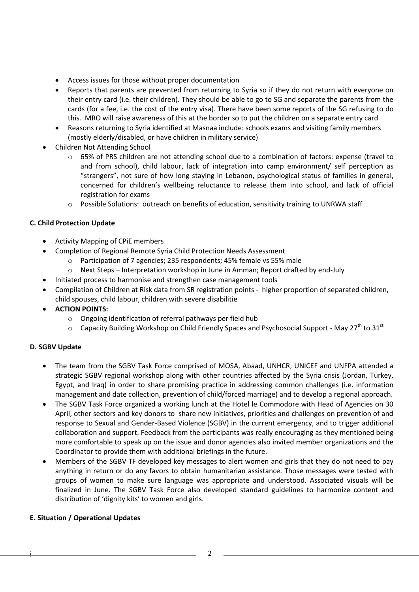- Access issues for those without proper documentation
- Reports that parents are prevented from returning to Syria so if they do not return with everyone on their entry card (i.e. their children). They should be able to go to SG and separate the parents from the cards (for a fee, i.e. the cost of the entry visa). There have been some reports of the SG refusing to do this. MRO will raise awareness of this at the border so to put the children on a separate entry card
- Reasons returning to Syria identified at Masnaa include: schools exams and visiting family members (mostly elderly/disabled, or have children in military service)
- Children Not Attending School
	- o 65% of PRS children are not attending school due to a combination of factors: expense (travel to and from school), child labour, lack of integration into camp environment/ self perception as "strangers", not sure of how long staying in Lebanon, psychological status of families in general, concerned for children's wellbeing reluctance to release them into school, and lack of official registration for exams
	- $\circ$  Possible Solutions: outreach on benefits of education, sensitivity training to UNRWA staff

## **C. Child Protection Update**

- Activity Mapping of CPiE members
- Completion of Regional Remote Syria Child Protection Needs Assessment
	- o Participation of 7 agencies; 235 respondents; 45% female vs 55% male
	- $\circ$  Next Steps Interpretation workshop in June in Amman; Report drafted by end-July
	- Initiated process to harmonise and strengthen case management tools
- Compilation of Children at Risk data from SR registration points higher proportion of separated children, child spouses, child labour, children with severe disabilitie
- **ACTION POINTS:**
	- o Ongoing identification of referral pathways per field hub
	- $\circ$  Capacity Building Workshop on Child Friendly Spaces and Psychosocial Support May 27<sup>th</sup> to 31<sup>st</sup>

# **D. SGBV Update**

- The team from the SGBV Task Force comprised of MOSA, Abaad, UNHCR, UNICEF and UNFPA attended a strategic SGBV regional workshop along with other countries affected by the Syria crisis (Jordan, Turkey, Egypt, and Iraq) in order to share promising practice in addressing common challenges (i.e. information management and date collection, prevention of child/forced marriage) and to develop a regional approach.
- The SGBV Task Force organized a working lunch at the Hotel le Commodore with Head of Agencies on 30 April, other sectors and key donors to share new initiatives, priorities and challenges on prevention of and response to Sexual and Gender-Based Violence (SGBV) in the current emergency, and to trigger additional collaboration and support. Feedback from the participants was really encouraging as they mentioned being more comfortable to speak up on the issue and donor agencies also invited member organizations and the Coordinator to provide them with additional briefings in the future.
- Members of the SGBV TF developed key messages to alert women and girls that they do not need to pay anything in return or do any favors to obtain humanitarian assistance. Those messages were tested with groups of women to make sure language was appropriate and understood. Associated visuals will be finalized in June. The SGBV Task Force also developed standard guidelines to harmonize content and distribution of 'dignity kits' to women and girls.

#### **E. Situation / Operational Updates**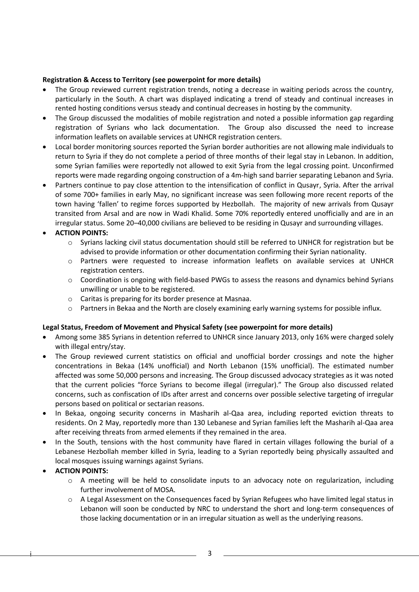# **Registration & Access to Territory (see powerpoint for more details)**

- The Group reviewed current registration trends, noting a decrease in waiting periods across the country, particularly in the South. A chart was displayed indicating a trend of steady and continual increases in rented hosting conditions versus steady and continual decreases in hosting by the community.
- The Group discussed the modalities of mobile registration and noted a possible information gap regarding registration of Syrians who lack documentation. The Group also discussed the need to increase information leaflets on available services at UNHCR registration centers.
- Local border monitoring sources reported the Syrian border authorities are not allowing male individuals to return to Syria if they do not complete a period of three months of their legal stay in Lebanon. In addition, some Syrian families were reportedly not allowed to exit Syria from the legal crossing point. Unconfirmed reports were made regarding ongoing construction of a 4m-high sand barrier separating Lebanon and Syria.
- Partners continue to pay close attention to the intensification of conflict in Qusayr, Syria. After the arrival of some 700+ families in early May, no significant increase was seen following more recent reports of the town having 'fallen' to regime forces supported by Hezbollah. The majority of new arrivals from Qusayr transited from Arsal and are now in Wadi Khalid. Some 70% reportedly entered unofficially and are in an irregular status. Some 20–40,000 civilians are believed to be residing in Qusayr and surrounding villages.

# **ACTION POINTS:**

- o Syrians lacking civil status documentation should still be referred to UNHCR for registration but be advised to provide information or other documentation confirming their Syrian nationality.
- o Partners were requested to increase information leaflets on available services at UNHCR registration centers.
- o Coordination is ongoing with field-based PWGs to assess the reasons and dynamics behind Syrians unwilling or unable to be registered.
- o Caritas is preparing for its border presence at Masnaa.
- o Partners in Bekaa and the North are closely examining early warning systems for possible influx.

# **Legal Status, Freedom of Movement and Physical Safety (see powerpoint for more details)**

- Among some 385 Syrians in detention referred to UNHCR since January 2013, only 16% were charged solely with illegal entry/stay.
- The Group reviewed current statistics on official and unofficial border crossings and note the higher concentrations in Bekaa (14% unofficial) and North Lebanon (15% unofficial). The estimated number affected was some 50,000 persons and increasing. The Group discussed advocacy strategies as it was noted that the current policies "force Syrians to become illegal (irregular)." The Group also discussed related concerns, such as confiscation of IDs after arrest and concerns over possible selective targeting of irregular persons based on political or sectarian reasons.
- In Bekaa, ongoing security concerns in Masharih al-Qaa area, including reported eviction threats to residents. On 2 May, reportedly more than 130 Lebanese and Syrian families left the Masharih al-Qaa area after receiving threats from armed elements if they remained in the area.
- In the South, tensions with the host community have flared in certain villages following the burial of a Lebanese Hezbollah member killed in Syria, leading to a Syrian reportedly being physically assaulted and local mosques issuing warnings against Syrians.

# **ACTION POINTS:**

- $\circ$  A meeting will be held to consolidate inputs to an advocacy note on regularization, including further involvement of MOSA.
- o A Legal Assessment on the Consequences faced by Syrian Refugees who have limited legal status in Lebanon will soon be conducted by NRC to understand the short and long-term consequences of those lacking documentation or in an irregular situation as well as the underlying reasons.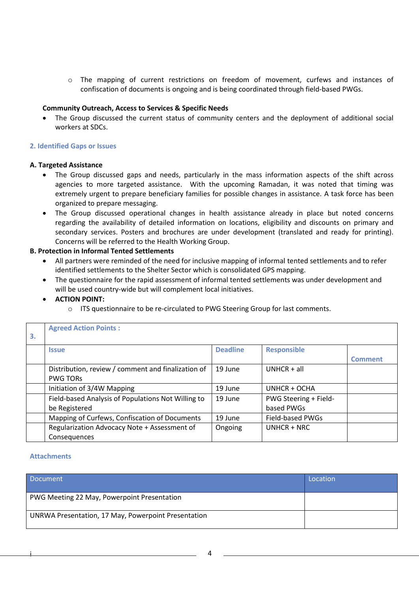o The mapping of current restrictions on freedom of movement, curfews and instances of confiscation of documents is ongoing and is being coordinated through field-based PWGs.

### **Community Outreach, Access to Services & Specific Needs**

 The Group discussed the current status of community centers and the deployment of additional social workers at SDCs.

## **2. Identified Gaps or Issues**

#### **A. Targeted Assistance**

- The Group discussed gaps and needs, particularly in the mass information aspects of the shift across agencies to more targeted assistance. With the upcoming Ramadan, it was noted that timing was extremely urgent to prepare beneficiary families for possible changes in assistance. A task force has been organized to prepare messaging.
- The Group discussed operational changes in health assistance already in place but noted concerns regarding the availability of detailed information on locations, eligibility and discounts on primary and secondary services. Posters and brochures are under development (translated and ready for printing). Concerns will be referred to the Health Working Group.

## **B. Protection in Informal Tented Settlements**

- All partners were reminded of the need for inclusive mapping of informal tented settlements and to refer identified settlements to the Shelter Sector which is consolidated GPS mapping.
- The questionnaire for the rapid assessment of informal tented settlements was under development and will be used country-wide but will complement local initiatives.
- **ACTION POINT:**
	- o ITS questionnaire to be re-circulated to PWG Steering Group for last comments.

| 3. | <b>Agreed Action Points:</b>                       |                 |                       |                |
|----|----------------------------------------------------|-----------------|-----------------------|----------------|
|    | <b>Issue</b>                                       | <b>Deadline</b> | <b>Responsible</b>    |                |
|    |                                                    |                 |                       | <b>Comment</b> |
|    | Distribution, review / comment and finalization of | 19 June         | $UNHCR + all$         |                |
|    | <b>PWG TORS</b>                                    |                 |                       |                |
|    | Initiation of 3/4W Mapping                         | 19 June         | UNHCR + OCHA          |                |
|    | Field-based Analysis of Populations Not Willing to | 19 June         | PWG Steering + Field- |                |
|    | be Registered                                      |                 | based PWGs            |                |
|    | Mapping of Curfews, Confiscation of Documents      | 19 June         | Field-based PWGs      |                |
|    | Regularization Advocacy Note + Assessment of       | Ongoing         | $UNHCR + NRC$         |                |
|    | Consequences                                       |                 |                       |                |

#### **Attachments**

| <b>Document</b>                                     | Location |
|-----------------------------------------------------|----------|
| PWG Meeting 22 May, Powerpoint Presentation         |          |
| UNRWA Presentation, 17 May, Powerpoint Presentation |          |